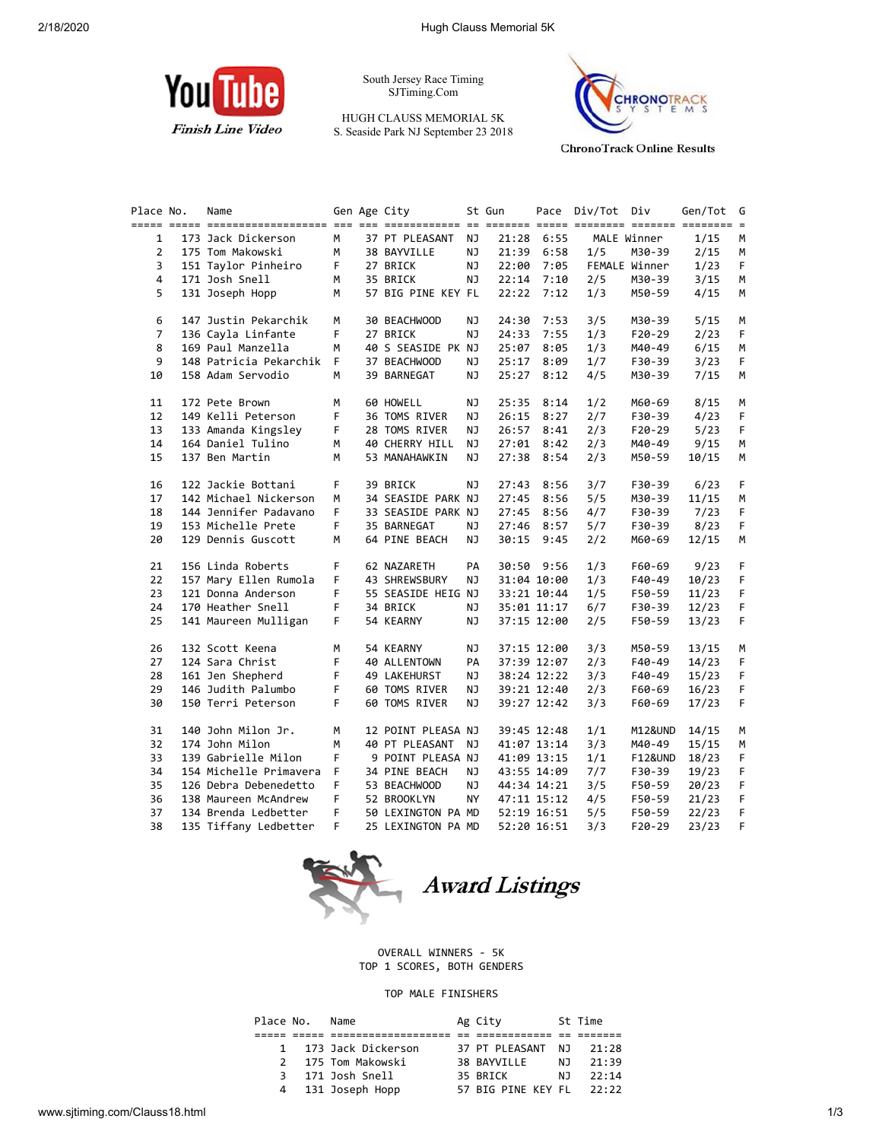

South Jersey Race Timing SJTiming.Com

HUGH CLAUSS MEMORIAL 5K S. Seaside Park NJ September 23 2018



**ChronoTrack Online Results** 

| Place No.      | Name                   |    | Gen Age City       |           | St Gun | Pace         | Div/Tot Div |               | Gen/Tot |
|----------------|------------------------|----|--------------------|-----------|--------|--------------|-------------|---------------|---------|
| 1              | 173 Jack Dickerson     | М  | 37 PT PLEASANT     | NJ        | 21:28  | 6:55         |             | MALE Winner   | 1/15    |
| $\overline{2}$ | 175 Tom Makowski       | М  | 38 BAYVILLE        | ΝJ        | 21:39  | 6:58         | 1/5         | M30-39        | 2/15    |
| 3              | 151 Taylor Pinheiro    | F. | 27 BRICK           | ΝJ        | 22:00  | 7:05         |             | FEMALE Winner | 1/23    |
| $\overline{4}$ | 171 Josh Snell         | М  | 35 BRICK           | ΝJ        |        | $22:14$ 7:10 | 2/5         | M30-39        | 3/15    |
| 5              | 131 Joseph Hopp        | М  | 57 BIG PINE KEY FL |           | 22:22  | 7:12         | 1/3         | M50-59        | 4/15    |
| 6              | 147 Justin Pekarchik   | M  | 30 BEACHWOOD       | NJ.       | 24:30  | 7:53         | 3/5         | M30-39        | 5/15    |
| $\overline{7}$ | 136 Cayla Linfante     | F  | 27 BRICK           | NJ        | 24:33  | 7:55         | 1/3         | F20-29        | 2/23    |
| 8              | 169 Paul Manzella      | м  | 40 S SEASIDE PK NJ |           | 25:07  | 8:05         | 1/3         | M40-49        | 6/15    |
| 9              | 148 Patricia Pekarchik | F. | 37 BEACHWOOD       | NJ.       | 25:17  | 8:09         | 1/7         | F30-39        | 3/23    |
| 10             | 158 Adam Servodio      | М  | 39 BARNEGAT        | ΝJ        | 25:27  | 8:12         | 4/5         | M30-39        | 7/15    |
| 11             | 172 Pete Brown         | M  | 60 HOWELL          | ΝJ        | 25:35  | 8:14         | 1/2         | M60-69        | 8/15    |
| 12             | 149 Kelli Peterson     | F  | 36 TOMS RIVER      | ΝJ        | 26:15  | 8:27         | 2/7         | F30-39        | 4/23    |
| 13             | 133 Amanda Kingsley    | F  | 28 TOMS RIVER      | NJ        | 26:57  | 8:41         | 2/3         | $F20-29$      | 5/23    |
| 14             | 164 Daniel Tulino      | м  | 40 CHERRY HILL     | ΝJ        | 27:01  | 8:42         | 2/3         | M40-49        | 9/15    |
| 15             | 137 Ben Martin         | M  | 53 MANAHAWKIN      | NJ        | 27:38  | 8:54         | 2/3         | M50-59        | 10/15   |
| 16             | 122 Jackie Bottani     | F. | 39 BRICK           | ΝJ        | 27:43  | 8:56         | 3/7         | F30-39        | 6/23    |
| 17             | 142 Michael Nickerson  | м  | 34 SEASIDE PARK NJ |           | 27:45  | 8:56         | 5/5         | M30-39        | 11/15   |
| 18             | 144 Jennifer Padavano  | F  | 33 SEASIDE PARK NJ |           | 27:45  | 8:56         | 4/7         | F30-39        | 7/23    |
| 19             | 153 Michelle Prete     | F. | 35 BARNEGAT        | ΝJ        | 27:46  | 8:57         | 5/7         | F30-39        | 8/23    |
| 20             | 129 Dennis Guscott     | М  | 64 PINE BEACH      | NJ.       | 30:15  | 9:45         | 2/2         | M60-69        | 12/15   |
| 21             | 156 Linda Roberts      | F  | 62 NAZARETH        | PA        |        | 30:50 9:56   | 1/3         | F60-69        | 9/23    |
| 22             | 157 Mary Ellen Rumola  | F  | 43 SHREWSBURY      | NJ.       |        | 31:04 10:00  | 1/3         | F40-49        | 10/23   |
| 23             | 121 Donna Anderson     | F  | 55 SEASIDE HEIG NJ |           |        | 33:21 10:44  | 1/5         | F50-59        | 11/23   |
| 24             | 170 Heather Snell      | F  | 34 BRICK           | NJ        |        | 35:01 11:17  | 6/7         | F30-39        | 12/23   |
| 25             | 141 Maureen Mulligan   | F. | 54 KEARNY          | ΝJ        |        | 37:15 12:00  | 2/5         | F50-59        | 13/23   |
| 26             | 132 Scott Keena        | м  | 54 KEARNY          | NJ        |        | 37:15 12:00  | 3/3         | M50-59        | 13/15   |
| 27             | 124 Sara Christ        | F  | 40 ALLENTOWN       | PA        |        | 37:39 12:07  | 2/3         | F40-49        | 14/23   |
| 28             | 161 Jen Shepherd       | F  | 49 LAKEHURST       | NJ        |        | 38:24 12:22  | 3/3         | F40-49        | 15/23   |
| 29             | 146 Judith Palumbo     | F  | 60 TOMS RIVER      | ΝJ        |        | 39:21 12:40  | 2/3         | F60-69        | 16/23   |
| 30             | 150 Terri Peterson     | F  | 60 TOMS RIVER      | NJ.       |        | 39:27 12:42  | 3/3         | F60-69        | 17/23   |
| 31             | 140 John Milon Jr.     | М  | 12 POINT PLEASA NJ |           |        | 39:45 12:48  | 1/1         | M12&UND       | 14/15   |
| 32             | 174 John Milon         | м  | 40 PT PLEASANT     | ΝJ        |        | 41:07 13:14  | 3/3         | M40-49        | 15/15   |
| 33             | 139 Gabrielle Milon    | F  | 9 POINT PLEASA NJ  |           |        | 41:09 13:15  | 1/1         | F12&UND       | 18/23   |
| 34             | 154 Michelle Primavera | F  | 34 PINE BEACH      | ΝJ        |        | 43:55 14:09  | 7/7         | F30-39        | 19/23   |
| 35             | 126 Debra Debenedetto  | F  | 53 BEACHWOOD       | NJ        |        | 44:34 14:21  | 3/5         | F50-59        | 20/23   |
| 36             | 138 Maureen McAndrew   | F  | 52 BROOKLYN        | <b>NY</b> |        | 47:11 15:12  | 4/5         | F50-59        | 21/23   |
| 37             | 134 Brenda Ledbetter   | F. | 50 LEXINGTON PA MD |           |        | 52:19 16:51  | 5/5         | F50-59        | 22/23   |
| 38             | 135 Tiffany Ledbetter  | F. | 25 LEXINGTON PA MD |           |        | 52:20 16:51  | 3/3         | $F20-29$      | 23/23   |



OVERALL WINNERS - 5K TOP 1 SCORES, BOTH GENDERS

## TOP MALE FINISHERS

| Place No. | Name                 | Ag City            |     | St Time |
|-----------|----------------------|--------------------|-----|---------|
|           |                      |                    |     |         |
|           | 1 173 Jack Dickerson | 37 PT PLEASANT NJ  |     | 21:28   |
|           | 2 175 Tom Makowski   | 38 BAYVILLE        | N J | 21:39   |
|           | 3 171 Josh Snell     | 35 BRICK           | N J | 22:14   |
|           | 4 131 Joseph Hopp    | 57 BIG PINE KEY FL |     | 22:22   |
|           |                      |                    |     |         |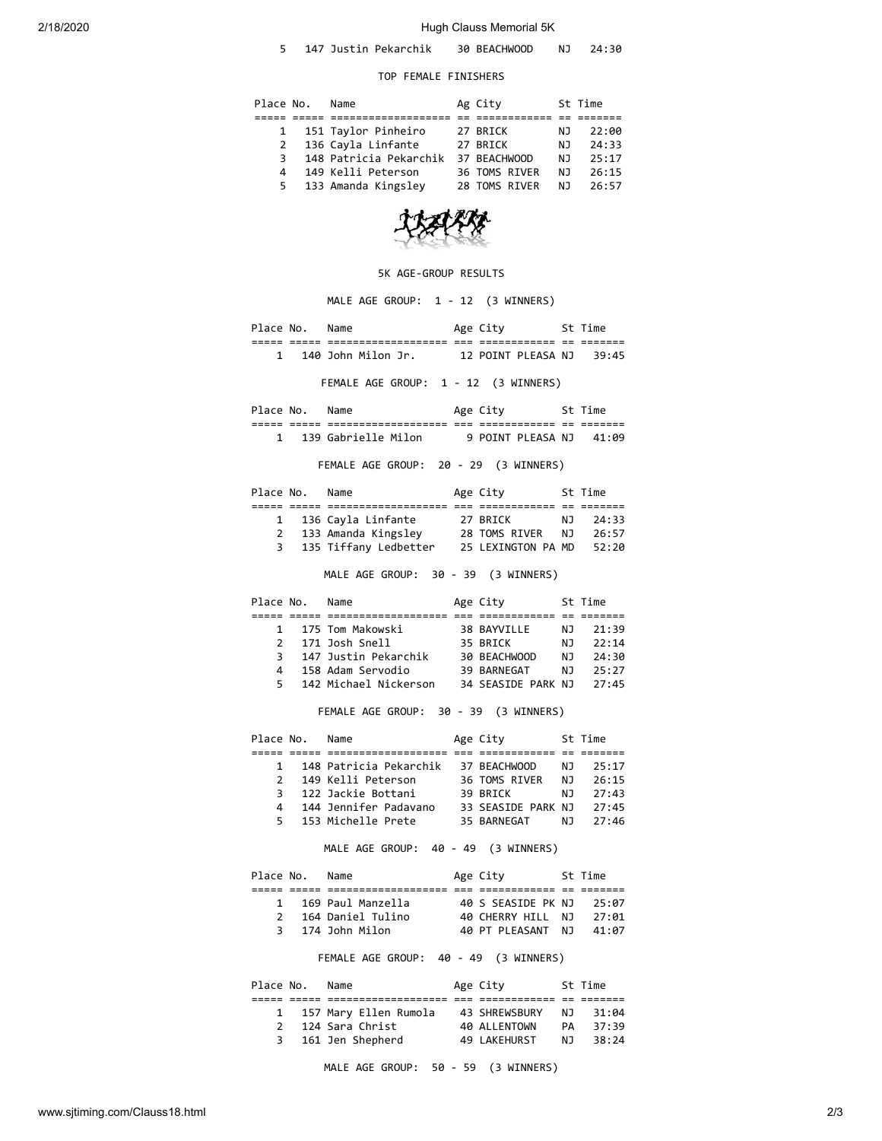## 2/18/2020 Hugh Clauss Memorial 5K

| 147 Justin Pekarchik | 30 BEACHWOOD |  | 24:30 |  |
|----------------------|--------------|--|-------|--|
|----------------------|--------------|--|-------|--|

## TOP FEMALE FINISHERS

| Place No.    | Name                   | Ag City       |     | St Time |
|--------------|------------------------|---------------|-----|---------|
|              |                        |               |     |         |
| $\mathbf{1}$ | 151 Taylor Pinheiro    | 27 BRICK      | ΝJ  | 22:00   |
| 2            | 136 Cayla Linfante     | 27 BRICK      | NJ  | 24:33   |
| 3            | 148 Patricia Pekarchik | 37 BEACHWOOD  | N J | 25:17   |
| 4            | 149 Kelli Peterson     | 36 TOMS RIVER | NJ. | 26:15   |
|              | 5 133 Amanda Kingsley  | 28 TOMS RIVER | NJ  | 26:57   |



## 5K AGE-GROUP RESULTS

MALE AGE GROUP: 1 - 12 (3 WINNERS)

Place No. Name **Age City** St Time ===== ===== =================== === ============ == ======= 1 140 John Milon Jr. 12 POINT PLEASA NJ 39:45

FEMALE AGE GROUP: 1 - 12 (3 WINNERS)

| Place No.      |              | Name                                     |                    | Age City                     |               | Time               |
|----------------|--------------|------------------------------------------|--------------------|------------------------------|---------------|--------------------|
| _____<br>_____ | ---<br>_____ | _________________<br>___________________ | $- - -$<br>$- - -$ | ____________<br>____________ | $- -$<br>$ -$ | -------<br>_______ |
|                |              | 139 Gabrielle Milon                      |                    | 9 POINT PLEASA NJ            |               | 41:09              |

FEMALE AGE GROUP: 20 - 29 (3 WINNERS)

| Place No.    | Name                  | Age City           |     | St Time |
|--------------|-----------------------|--------------------|-----|---------|
|              |                       |                    |     |         |
|              | 1 136 Cayla Linfante  | 27 BRICK           | N J | 24:33   |
| $\mathbf{2}$ | 133 Amanda Kingsley   | 28 TOMS RIVER      | NJ. | 26:57   |
|              | 135 Tiffany Ledbetter | 25 LEXINGTON PA MD |     | 52:20   |
|              |                       |                    |     |         |

MALE AGE GROUP: 30 - 39 (3 WINNERS)

| Place No.     | Name                  | Age City           |     | St Time |
|---------------|-----------------------|--------------------|-----|---------|
|               |                       |                    |     |         |
| 1             | 175 Tom Makowski      | 38 BAYVILLE        | NJ. | 21:39   |
| $\mathcal{P}$ | 171 Josh Snell        | 35 BRICK           | N J | 22:14   |
| 3.            | 147 Justin Pekarchik  | 30 BEACHWOOD       | N J | 24:30   |
| Δ.            | 158 Adam Servodio     | 39 BARNEGAT        | N J | 25:27   |
| 5.            | 142 Michael Nickerson | 34 SEASIDE PARK NJ |     | 27:45   |

FEMALE AGE GROUP: 30 - 39 (3 WINNERS)

| Place No.     | Name                   | Age City           |     | St Time |
|---------------|------------------------|--------------------|-----|---------|
|               |                        |                    |     |         |
| $\mathbf{1}$  | 148 Patricia Pekarchik | 37 BEACHWOOD       | NJ. | 25:17   |
| $\mathcal{P}$ | 149 Kelli Peterson     | 36 TOMS RIVER      | N J | 26:15   |
| 3             | 122 Jackie Bottani     | 39 BRTCK           | N J | 27:43   |
| Δ.            | 144 Jennifer Padavano  | 33 SEASIDE PARK NJ |     | 27:45   |
| 5.            | 153 Michelle Prete     | 35 BARNEGAT        | NJ. | 27:46   |

MALE AGE GROUP: 40 - 49 (3 WINNERS)

| Place No.      | Name              | Age City           | St Time |
|----------------|-------------------|--------------------|---------|
|                |                   |                    |         |
| $\mathbf{1}$   | 169 Paul Manzella | 40 S SEASIDE PK NJ | 25:07   |
| $\overline{2}$ | 164 Daniel Tulino | 40 CHERRY HILL NJ  | 27:01   |
|                | 3 174 John Milon  | 40 PT PLFASANT NJ  | 41:07   |
|                |                   |                    |         |

FEMALE AGE GROUP: 40 - 49 (3 WINNERS)

| Place No.     | Name                  | Age City      |     | St Time |
|---------------|-----------------------|---------------|-----|---------|
|               |                       |               |     |         |
|               | 157 Mary Ellen Rumola | 43 SHREWSBURY | NJ. | 31:04   |
| $\mathcal{P}$ | 124 Sara Christ       | 40 ALLENTOWN  | PА  | 37:39   |
| 3             | 161 Jen Shepherd      | 49 LAKEHURST  | N J | 38:24   |
|               |                       |               |     |         |

MALE AGE GROUP: 50 - 59 (3 WINNERS)